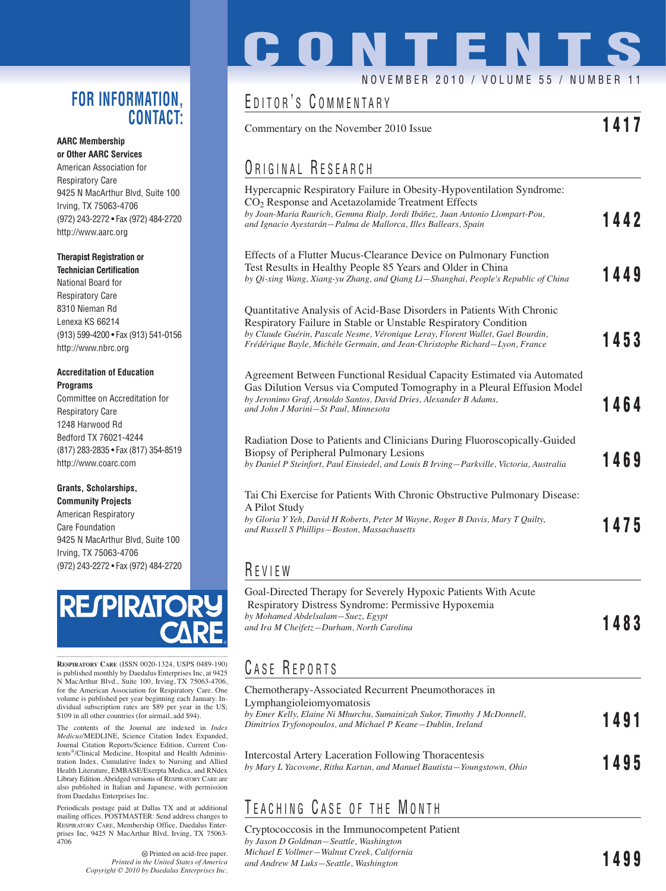### **FOR INFORMATION, CONTACT:**

#### **AARC Membership or Other AARC Services**

American Association for Respiratory Care 9425 N MacArthur Blvd, Suite 100 Irving, TX 75063-4706 (972) 243-2272 • Fax (972) 484-2720 http://www.aarc.org

### **Therapist Registration or**

**Technician Certification** National Board for Respiratory Care 8310 Nieman Rd Lenexa KS 66214 (913) 599-4200 • Fax (913) 541-0156 http://www.nbrc.org

#### **Accreditation of Education Programs**

Committee on Accreditation for Respiratory Care 1248 Harwood Rd Bedford TX 76021-4244 (817) 283-2835 • Fax (817) 354-8519 http://www.coarc.com

#### **Grants, Scholarships, Community Projects**

American Respiratory Care Foundation 9425 N MacArthur Blvd, Suite 100 Irving, TX 75063-4706 (972) 243-2272 • Fax (972) 484-2720



**RESPIRATORY CARE** (ISSN 0020-1324, USPS 0489-190) is published monthly by Daedalus Enterprises Inc, at 9425 N MacArthur Blvd., Suite 100, Irving, TX 75063-4706, for the American Association for Respiratory Care. One volume is published per year beginning each January. Individual subscription rates are \$89 per year in the US; \$109 in all other countries (for airmail, add \$94).

The contents of the Journal are indexed in *Index Medicus*/MEDLINE, Science Citation Index Expanded, Journal Citation Reports/Science Edition, Current Contents®/Clinical Medicine, Hospital and Health Administration Index, Cumulative Index to Nursing and Allied Health Literature, EMBASE/Exerpta Medica, and RNdex Library Edition. Abridged versions of RESPIRATORY CARE are also published in Italian and Japanese, with permission from Daedalus Enterprises Inc.

Periodicals postage paid at Dallas TX and at additional mailing offices. POSTMASTER: Send address changes to RESPIRATORY CARE, Membership Office, Daedalus Enterprises Inc, 9425 N MacArthur Blvd, Irving, TX 75063- 4706

> Printed on acid-free paper. *Printed in the United States of America Copyright © 2010 by Daedalus Enterprises Inc.*

# **CONTENTS** NOVEMBER 2010 / VOLUME 55 / NUMBER

## EDITOR'S COMMENTARY

Commentary on the November 2010 Issue **1417**

## ORIGINAL RESEARCH

| Hypercapnic Respiratory Failure in Obesity-Hypoventilation Syndrome:<br>CO <sub>2</sub> Response and Acetazolamide Treatment Effects<br>by Joan-Maria Raurich, Gemma Rialp, Jordi Ibáñez, Juan Antonio Llompart-Pou,<br>and Ignacio Ayestarán–Palma de Mallorca, Illes Ballears, Spain                     | 1442 |
|------------------------------------------------------------------------------------------------------------------------------------------------------------------------------------------------------------------------------------------------------------------------------------------------------------|------|
| Effects of a Flutter Mucus-Clearance Device on Pulmonary Function<br>Test Results in Healthy People 85 Years and Older in China<br>by Qi-xing Wang, Xiang-yu Zhang, and Qiang Li—Shanghai, People's Republic of China                                                                                      | 1449 |
| Quantitative Analysis of Acid-Base Disorders in Patients With Chronic<br>Respiratory Failure in Stable or Unstable Respiratory Condition<br>by Claude Guérin, Pascale Nesme, Véronique Leray, Florent Wallet, Gael Bourdin,<br>Frédérique Bayle, Michèle Germain, and Jean-Christophe Richard–Lyon, France | 1453 |
| Agreement Between Functional Residual Capacity Estimated via Automated<br>Gas Dilution Versus via Computed Tomography in a Pleural Effusion Model<br>by Jeronimo Graf, Arnoldo Santos, David Dries, Alexander B Adams,<br>and John J Marini–St Paul, Minnesota                                             | 1464 |
| Radiation Dose to Patients and Clinicians During Fluoroscopically-Guided<br>Biopsy of Peripheral Pulmonary Lesions<br>by Daniel P Steinfort, Paul Einsiedel, and Louis B Irving-Parkville, Victoria, Australia                                                                                             | 1469 |
| Tai Chi Exercise for Patients With Chronic Obstructive Pulmonary Disease:<br>A Pilot Study<br>by Gloria Y Yeh, David H Roberts, Peter M Wayne, Roger B Davis, Mary T Quilty,<br>and Russell S Phillips-Boston, Massachusetts                                                                               | 1475 |
| REVIEW                                                                                                                                                                                                                                                                                                     |      |

Goal-Directed Therapy for Severely Hypoxic Patients With Acute Respiratory Distress Syndrome: Permissive Hypoxemia *by Mohamed Abdelsalam—Suez, Egypt and Ira M Cheifetz—Durham, North Carolina* **1483**

### C ASE R EPORTS

| Chemotherapy-Associated Recurrent Pneumothoraces in<br>Lymphangioleiomyomatosis<br>by Emer Kelly, Elaine Ni Mhurchu, Sumainizah Sukor, Timothy J McDonnell,<br>Dimitrios Tryfonopoulos, and Michael P Keane–Dublin, Ireland | 1491 |
|-----------------------------------------------------------------------------------------------------------------------------------------------------------------------------------------------------------------------------|------|
| Intercostal Artery Laceration Following Thoracentesis<br>by Mary L Yacovone, Ritha Kartan, and Manuel Bautista—Youngstown, Ohio                                                                                             | 1495 |

## TEACHING CASE OF THE MONTH

Cryptococcosis in the Immunocompetent Patient *by Jason D Goldman—Seattle, Washington Michael E Vollmer—Walnut Creek, California and Andrew M Luks—Seattle, Washington* **1499**